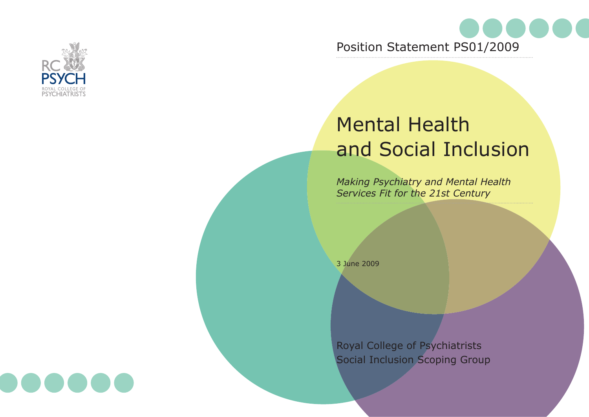

# Mental Health and Social Inclusion

*Making Psychiatry and Mental Health Services Fit for the 21st Century*

3 June 2009

Royal College of Psychiatrists Social Inclusion Scoping Group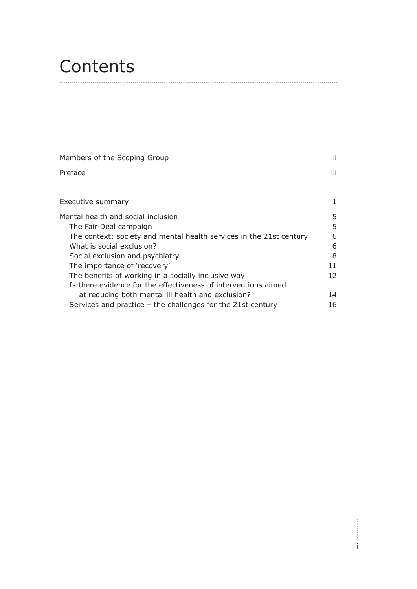# **Contents**

| Members of the Scoping Group                                        |    |  |
|---------------------------------------------------------------------|----|--|
| Preface                                                             |    |  |
|                                                                     |    |  |
|                                                                     |    |  |
| Executive summary                                                   |    |  |
| Mental health and social inclusion                                  |    |  |
| The Fair Deal campaign                                              | 5  |  |
| The context: society and mental health services in the 21st century |    |  |
| What is social exclusion?                                           | 6  |  |
| Social exclusion and psychiatry                                     |    |  |
| The importance of 'recovery'                                        | 11 |  |
| The benefits of working in a socially inclusive way                 |    |  |
| Is there evidence for the effectiveness of interventions aimed      |    |  |
| at reducing both mental ill health and exclusion?                   | 14 |  |
| Services and practice - the challenges for the 21st century         |    |  |

i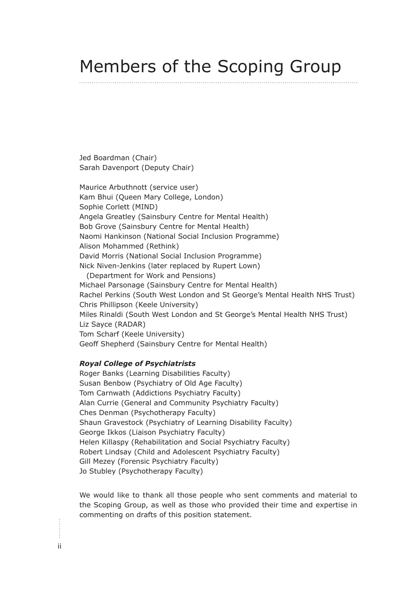# Members of the Scoping Group

Jed Boardman (Chair) Sarah Davenport (Deputy Chair)

Maurice Arbuthnott (service user) Kam Bhui (Queen Mary College, London) Sophie Corlett (MIND) Angela Greatley (Sainsbury Centre for Mental Health) Bob Grove (Sainsbury Centre for Mental Health) Naomi Hankinson (National Social Inclusion Programme) Alison Mohammed (Rethink) David Morris (National Social Inclusion Programme) Nick Niven-Jenkins (later replaced by Rupert Lown) (Department for Work and Pensions) Michael Parsonage (Sainsbury Centre for Mental Health) Rachel Perkins (South West London and St George's Mental Health NHS Trust) Chris Phillipson (Keele University) Miles Rinaldi (South West London and St George's Mental Health NHS Trust) Liz Sayce (RADAR) Tom Scharf (Keele University) Geoff Shepherd (Sainsbury Centre for Mental Health)

## *Royal College of Psychiatrists*

Roger Banks (Learning Disabilities Faculty) Susan Benbow (Psychiatry of Old Age Faculty) Tom Carnwath (Addictions Psychiatry Faculty) Alan Currie (General and Community Psychiatry Faculty) Ches Denman (Psychotherapy Faculty) Shaun Gravestock (Psychiatry of Learning Disability Faculty) George Ikkos (Liaison Psychiatry Faculty) Helen Killaspy (Rehabilitation and Social Psychiatry Faculty) Robert Lindsay (Child and Adolescent Psychiatry Faculty) Gill Mezey (Forensic Psychiatry Faculty) Jo Stubley (Psychotherapy Faculty)

We would like to thank all those people who sent comments and material to the Scoping Group, as well as those who provided their time and expertise in commenting on drafts of this position statement.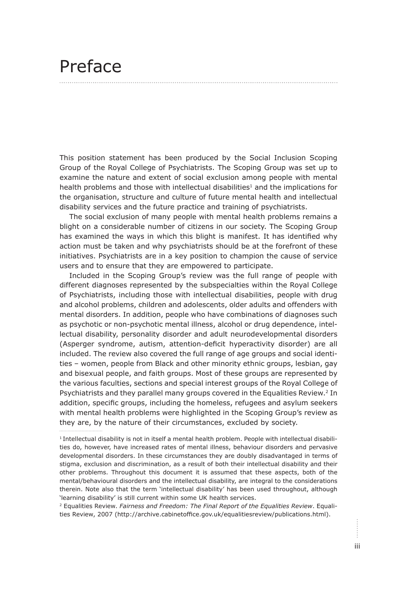# Preface

This position statement has been produced by the Social Inclusion Scoping Group of the Royal College of Psychiatrists. The Scoping Group was set up to examine the nature and extent of social exclusion among people with mental health problems and those with intellectual disabilities<sup>1</sup> and the implications for the organisation, structure and culture of future mental health and intellectual disability services and the future practice and training of psychiatrists.

The social exclusion of many people with mental health problems remains a blight on a considerable number of citizens in our society. The Scoping Group has examined the ways in which this blight is manifest. It has identified why action must be taken and why psychiatrists should be at the forefront of these initiatives. Psychiatrists are in a key position to champion the cause of service users and to ensure that they are empowered to participate.

Included in the Scoping Group's review was the full range of people with different diagnoses represented by the subspecialties within the Royal College of Psychiatrists, including those with intellectual disabilities, people with drug and alcohol problems, children and adolescents, older adults and offenders with mental disorders. In addition, people who have combinations of diagnoses such as psychotic or non-psychotic mental illness, alcohol or drug dependence, intellectual disability, personality disorder and adult neurodevelopmental disorders (Asperger syndrome, autism, attention-deficit hyperactivity disorder) are all included. The review also covered the full range of age groups and social identities – women, people from Black and other minority ethnic groups, lesbian, gay and bisexual people, and faith groups. Most of these groups are represented by the various faculties, sections and special interest groups of the Royal College of Psychiatrists and they parallel many groups covered in the Equalities Review.<sup>2</sup> In addition, specific groups, including the homeless, refugees and asylum seekers with mental health problems were highlighted in the Scoping Group's review as they are, by the nature of their circumstances, excluded by society.

2 Equalities Review. *Fairness and Freedom: The Final Report of the Equalities Review*. Equalities Review, 2007 (http://archive.cabinetoffice.gov.uk/equalitiesreview/publications.html).

<sup>&</sup>lt;sup>1</sup> Intellectual disability is not in itself a mental health problem. People with intellectual disabilities do, however, have increased rates of mental illness, behaviour disorders and pervasive developmental disorders. In these circumstances they are doubly disadvantaged in terms of stigma, exclusion and discrimination, as a result of both their intellectual disability and their other problems. Throughout this document it is assumed that these aspects, both of the mental/behavioural disorders and the intellectual disability, are integral to the considerations therein. Note also that the term 'intellectual disability' has been used throughout, although 'learning disability' is still current within some UK health services.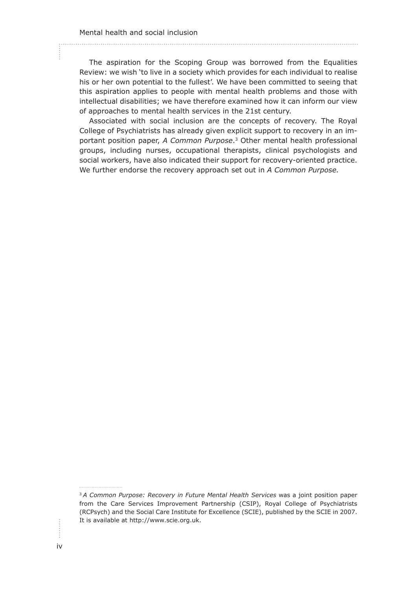The aspiration for the Scoping Group was borrowed from the Equalities Review: we wish 'to live in a society which provides for each individual to realise his or her own potential to the fullest'. We have been committed to seeing that this aspiration applies to people with mental health problems and those with intellectual disabilities; we have therefore examined how it can inform our view of approaches to mental health services in the 21st century.

Associated with social inclusion are the concepts of recovery. The Royal College of Psychiatrists has already given explicit support to recovery in an important position paper, *A Common Purpose*.3 Other mental health professional groups, including nurses, occupational therapists, clinical psychologists and social workers, have also indicated their support for recovery-oriented practice. We further endorse the recovery approach set out in *A Common Purpose.*

<sup>&</sup>lt;sup>3</sup> A Common Purpose: Recovery in Future Mental Health Services was a joint position paper from the Care Services Improvement Partnership (CSIP), Royal College of Psychiatrists (RCPsych) and the Social Care Institute for Excellence (SCIE), published by the SCIE in 2007. It is available at http://www.scie.org.uk.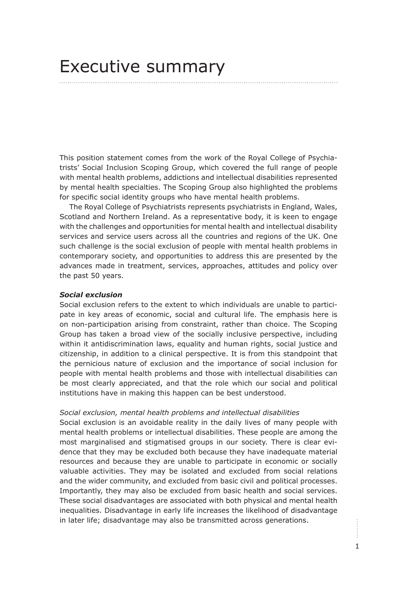# Executive summary

This position statement comes from the work of the Royal College of Psychiatrists' Social Inclusion Scoping Group, which covered the full range of people with mental health problems, addictions and intellectual disabilities represented by mental health specialties. The Scoping Group also highlighted the problems for specific social identity groups who have mental health problems.

The Royal College of Psychiatrists represents psychiatrists in England, Wales, Scotland and Northern Ireland. As a representative body, it is keen to engage with the challenges and opportunities for mental health and intellectual disability services and service users across all the countries and regions of the UK. One such challenge is the social exclusion of people with mental health problems in contemporary society, and opportunities to address this are presented by the advances made in treatment, services, approaches, attitudes and policy over the past 50 years.

#### *Social exclusion*

Social exclusion refers to the extent to which individuals are unable to participate in key areas of economic, social and cultural life. The emphasis here is on non-participation arising from constraint, rather than choice. The Scoping Group has taken a broad view of the socially inclusive perspective, including within it antidiscrimination laws, equality and human rights, social justice and citizenship, in addition to a clinical perspective. It is from this standpoint that the pernicious nature of exclusion and the importance of social inclusion for people with mental health problems and those with intellectual disabilities can be most clearly appreciated, and that the role which our social and political institutions have in making this happen can be best understood.

#### *Social exclusion, mental health problems and intellectual disabilities*

Social exclusion is an avoidable reality in the daily lives of many people with mental health problems or intellectual disabilities. These people are among the most marginalised and stigmatised groups in our society. There is clear evidence that they may be excluded both because they have inadequate material resources and because they are unable to participate in economic or socially valuable activities. They may be isolated and excluded from social relations and the wider community, and excluded from basic civil and political processes. Importantly, they may also be excluded from basic health and social services. These social disadvantages are associated with both physical and mental health inequalities. Disadvantage in early life increases the likelihood of disadvantage in later life; disadvantage may also be transmitted across generations.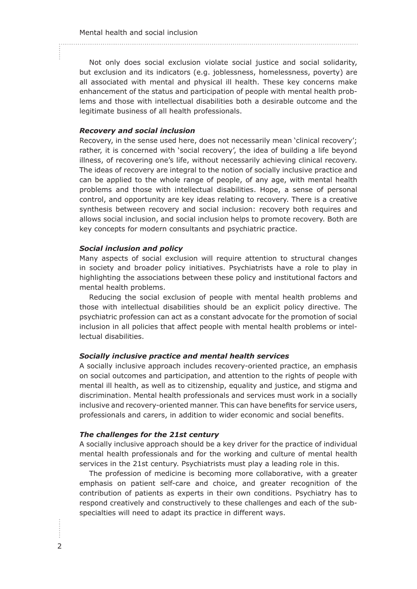Not only does social exclusion violate social justice and social solidarity, but exclusion and its indicators (e.g. joblessness, homelessness, poverty) are all associated with mental and physical ill health. These key concerns make enhancement of the status and participation of people with mental health problems and those with intellectual disabilities both a desirable outcome and the legitimate business of all health professionals.

#### *Recovery and social inclusion*

Recovery, in the sense used here, does not necessarily mean 'clinical recovery'; rather, it is concerned with 'social recovery', the idea of building a life beyond illness, of recovering one's life, without necessarily achieving clinical recovery. The ideas of recovery are integral to the notion of socially inclusive practice and can be applied to the whole range of people, of any age, with mental health problems and those with intellectual disabilities. Hope, a sense of personal control, and opportunity are key ideas relating to recovery. There is a creative synthesis between recovery and social inclusion: recovery both requires and allows social inclusion, and social inclusion helps to promote recovery. Both are key concepts for modern consultants and psychiatric practice.

### *Social inclusion and policy*

Many aspects of social exclusion will require attention to structural changes in society and broader policy initiatives. Psychiatrists have a role to play in highlighting the associations between these policy and institutional factors and mental health problems.

Reducing the social exclusion of people with mental health problems and those with intellectual disabilities should be an explicit policy directive. The psychiatric profession can act as a constant advocate for the promotion of social inclusion in all policies that affect people with mental health problems or intellectual disabilities.

#### *Socially inclusive practice and mental health services*

A socially inclusive approach includes recovery-oriented practice, an emphasis on social outcomes and participation, and attention to the rights of people with mental ill health, as well as to citizenship, equality and justice, and stigma and discrimination. Mental health professionals and services must work in a socially inclusive and recovery-oriented manner. This can have benefits for service users, professionals and carers, in addition to wider economic and social benefits.

#### *The challenges for the 21st century*

A socially inclusive approach should be a key driver for the practice of individual mental health professionals and for the working and culture of mental health services in the 21st century. Psychiatrists must play a leading role in this.

The profession of medicine is becoming more collaborative, with a greater emphasis on patient self-care and choice, and greater recognition of the contribution of patients as experts in their own conditions. Psychiatry has to respond creatively and constructively to these challenges and each of the subspecialties will need to adapt its practice in different ways.

........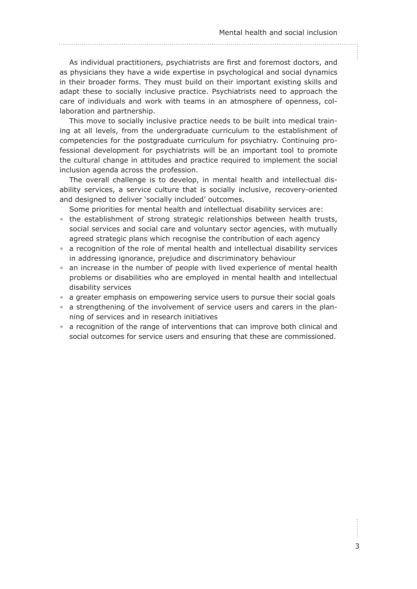# As individual practitioners, psychiatrists are first and foremost doctors, and as physicians they have a wide expertise in psychological and social dynamics in their broader forms. They must build on their important existing skills and adapt these to socially inclusive practice. Psychiatrists need to approach the care of individuals and work with teams in an atmosphere of openness, collaboration and partnership.

This move to socially inclusive practice needs to be built into medical training at all levels, from the undergraduate curriculum to the establishment of competencies for the postgraduate curriculum for psychiatry. Continuing professional development for psychiatrists will be an important tool to promote the cultural change in attitudes and practice required to implement the social inclusion agenda across the profession.

The overall challenge is to develop, in mental health and intellectual disability services, a service culture that is socially inclusive, recovery-oriented and designed to deliver 'socially included' outcomes.

Some priorities for mental health and intellectual disability services are:

- the establishment of strong strategic relationships between health trusts, social services and social care and voluntary sector agencies, with mutually agreed strategic plans which recognise the contribution of each agency
- a recognition of the role of mental health and intellectual disability services in addressing ignorance, prejudice and discriminatory behaviour
- an increase in the number of people with lived experience of mental health problems or disabilities who are employed in mental health and intellectual disability services
- a greater emphasis on empowering service users to pursue their social goals
- a strengthening of the involvement of service users and carers in the planning of services and in research initiatives
- a recognition of the range of interventions that can improve both clinical and social outcomes for service users and ensuring that these are commissioned.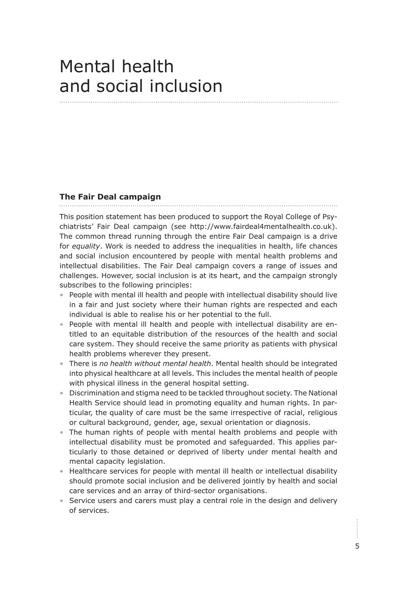## **The Fair Deal campaign**

This position statement has been produced to support the Royal College of Psychiatrists' Fair Deal campaign (see http://www.fairdeal4mentalhealth.co.uk). The common thread running through the entire Fair Deal campaign is a drive for *equality*. Work is needed to address the inequalities in health, life chances and social inclusion encountered by people with mental health problems and intellectual disabilities. The Fair Deal campaign covers a range of issues and challenges. However, social inclusion is at its heart, and the campaign strongly subscribes to the following principles:

- People with mental ill health and people with intellectual disability should live in a fair and just society where their human rights are respected and each individual is able to realise his or her potential to the full.
- People with mental ill health and people with intellectual disability are entitled to an equitable distribution of the resources of the health and social care system. They should receive the same priority as patients with physical health problems wherever they present.
- There is *no health without mental health*. Mental health should be integrated into physical healthcare at all levels. This includes the mental health of people with physical illness in the general hospital setting.
- Discrimination and stigma need to be tackled throughout society. The National Health Service should lead in promoting equality and human rights. In particular, the quality of care must be the same irrespective of racial, religious or cultural background, gender, age, sexual orientation or diagnosis.
- The human rights of people with mental health problems and people with intellectual disability must be promoted and safeguarded. This applies particularly to those detained or deprived of liberty under mental health and mental capacity legislation.
- Healthcare services for people with mental ill health or intellectual disability should promote social inclusion and be delivered jointly by health and social care services and an array of third-sector organisations.
- Service users and carers must play a central role in the design and delivery of services.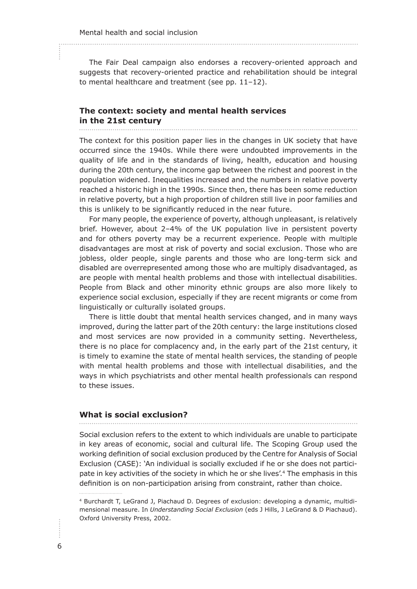The Fair Deal campaign also endorses a recovery-oriented approach and suggests that recovery-oriented practice and rehabilitation should be integral to mental healthcare and treatment (see pp. 11–12).

#### **The context: society and mental health services in the 21st century**

The context for this position paper lies in the changes in UK society that have occurred since the 1940s. While there were undoubted improvements in the quality of life and in the standards of living, health, education and housing during the 20th century, the income gap between the richest and poorest in the population widened. Inequalities increased and the numbers in relative poverty reached a historic high in the 1990s. Since then, there has been some reduction in relative poverty, but a high proportion of children still live in poor families and this is unlikely to be significantly reduced in the near future.

For many people, the experience of poverty, although unpleasant, is relatively brief. However, about 2–4% of the UK population live in persistent poverty and for others poverty may be a recurrent experience. People with multiple disadvantages are most at risk of poverty and social exclusion. Those who are jobless, older people, single parents and those who are long-term sick and disabled are overrepresented among those who are multiply disadvantaged, as are people with mental health problems and those with intellectual disabilities. People from Black and other minority ethnic groups are also more likely to experience social exclusion, especially if they are recent migrants or come from linguistically or culturally isolated groups.

There is little doubt that mental health services changed, and in many ways improved, during the latter part of the 20th century: the large institutions closed and most services are now provided in a community setting. Nevertheless, there is no place for complacency and, in the early part of the 21st century, it is timely to examine the state of mental health services, the standing of people with mental health problems and those with intellectual disabilities, and the ways in which psychiatrists and other mental health professionals can respond to these issues.

#### **What is social exclusion?**

Social exclusion refers to the extent to which individuals are unable to participate in key areas of economic, social and cultural life. The Scoping Group used the working definition of social exclusion produced by the Centre for Analysis of Social Exclusion (CASE): 'An individual is socially excluded if he or she does not participate in key activities of the society in which he or she lives'.<sup>4</sup> The emphasis in this definition is on non-participation arising from constraint, rather than choice.

<sup>4</sup> Burchardt T, LeGrand J, Piachaud D. Degrees of exclusion: developing a dynamic, multidimensional measure. In *Understanding Social Exclusion* (eds J Hills, J LeGrand & D Piachaud). Oxford University Press, 2002.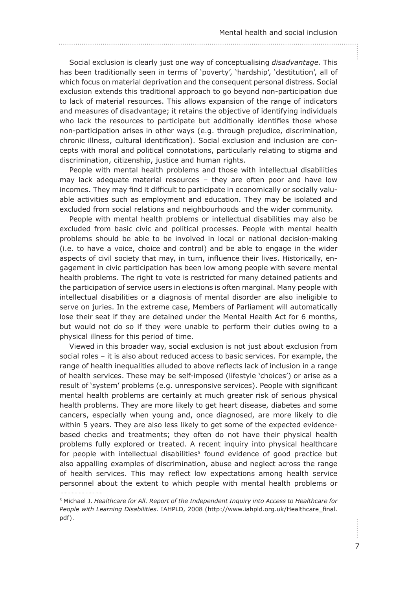Social exclusion is clearly just one way of conceptualising *disadvantage.* This has been traditionally seen in terms of 'poverty', 'hardship', 'destitution', all of which focus on material deprivation and the consequent personal distress. Social exclusion extends this traditional approach to go beyond non-participation due to lack of material resources. This allows expansion of the range of indicators and measures of disadvantage; it retains the objective of identifying individuals who lack the resources to participate but additionally identifies those whose non-participation arises in other ways (e.g. through prejudice, discrimination, chronic illness, cultural identification). Social exclusion and inclusion are concepts with moral and political connotations, particularly relating to stigma and discrimination, citizenship, justice and human rights.

People with mental health problems and those with intellectual disabilities may lack adequate material resources – they are often poor and have low incomes. They may find it difficult to participate in economically or socially valuable activities such as employment and education. They may be isolated and excluded from social relations and neighbourhoods and the wider community.

People with mental health problems or intellectual disabilities may also be excluded from basic civic and political processes. People with mental health problems should be able to be involved in local or national decision-making (i.e. to have a voice, choice and control) and be able to engage in the wider aspects of civil society that may, in turn, influence their lives. Historically, engagement in civic participation has been low among people with severe mental health problems. The right to vote is restricted for many detained patients and the participation of service users in elections is often marginal. Many people with intellectual disabilities or a diagnosis of mental disorder are also ineligible to serve on juries. In the extreme case, Members of Parliament will automatically lose their seat if they are detained under the Mental Health Act for 6 months, but would not do so if they were unable to perform their duties owing to a physical illness for this period of time.

Viewed in this broader way, social exclusion is not just about exclusion from social roles – it is also about reduced access to basic services. For example, the range of health inequalities alluded to above reflects lack of inclusion in a range of health services. These may be self-imposed (lifestyle 'choices') or arise as a result of 'system' problems (e.g. unresponsive services). People with significant mental health problems are certainly at much greater risk of serious physical health problems. They are more likely to get heart disease, diabetes and some cancers, especially when young and, once diagnosed, are more likely to die within 5 years. They are also less likely to get some of the expected evidencebased checks and treatments; they often do not have their physical health problems fully explored or treated. A recent inquiry into physical healthcare for people with intellectual disabilities<sup>5</sup> found evidence of good practice but also appalling examples of discrimination, abuse and neglect across the range of health services. This may reflect low expectations among health service personnel about the extent to which people with mental health problems or

<sup>5</sup> Michael J. *Healthcare for All. Report of the Independent Inquiry into Access to Healthcare for People with Learning Disabilities*. IAHPLD, 2008 (http://www.iahpld.org.uk/Healthcare\_final. pdf).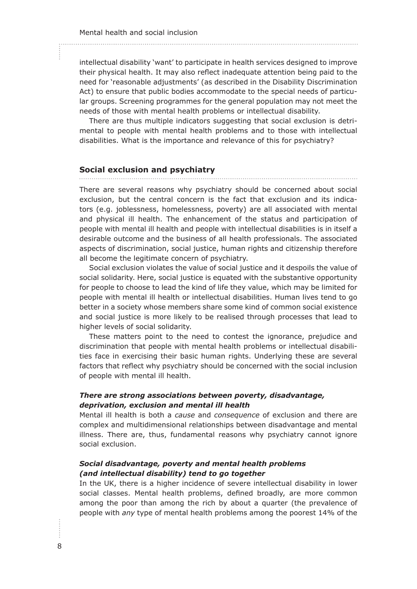intellectual disability 'want' to participate in health services designed to improve their physical health. It may also reflect inadequate attention being paid to the need for 'reasonable adjustments' (as described in the Disability Discrimination Act) to ensure that public bodies accommodate to the special needs of particular groups. Screening programmes for the general population may not meet the needs of those with mental health problems or intellectual disability.

There are thus multiple indicators suggesting that social exclusion is detrimental to people with mental health problems and to those with intellectual disabilities. What is the importance and relevance of this for psychiatry?

#### **Social exclusion and psychiatry**

There are several reasons why psychiatry should be concerned about social exclusion, but the central concern is the fact that exclusion and its indicators (e.g. joblessness, homelessness, poverty) are all associated with mental and physical ill health. The enhancement of the status and participation of people with mental ill health and people with intellectual disabilities is in itself a desirable outcome and the business of all health professionals. The associated aspects of discrimination, social justice, human rights and citizenship therefore all become the legitimate concern of psychiatry.

Social exclusion violates the value of social justice and it despoils the value of social solidarity. Here, social justice is equated with the substantive opportunity for people to choose to lead the kind of life they value, which may be limited for people with mental ill health or intellectual disabilities. Human lives tend to go better in a society whose members share some kind of common social existence and social justice is more likely to be realised through processes that lead to higher levels of social solidarity.

These matters point to the need to contest the ignorance, prejudice and discrimination that people with mental health problems or intellectual disabilities face in exercising their basic human rights. Underlying these are several factors that reflect why psychiatry should be concerned with the social inclusion of people with mental ill health.

### *There are strong associations between poverty, disadvantage, deprivation, exclusion and mental ill health*

Mental ill health is both a *cause* and *consequence* of exclusion and there are complex and multidimensional relationships between disadvantage and mental illness. There are, thus, fundamental reasons why psychiatry cannot ignore social exclusion.

# *Social disadvantage, poverty and mental health problems (and intellectual disability) tend to go together*

In the UK, there is a higher incidence of severe intellectual disability in lower social classes. Mental health problems, defined broadly, are more common among the poor than among the rich by about a quarter (the prevalence of people with *any* type of mental health problems among the poorest 14% of the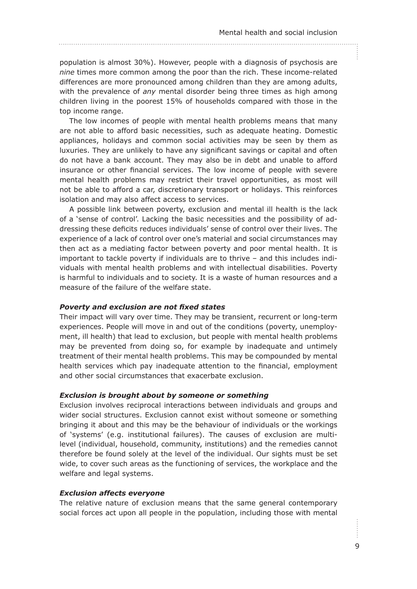# population is almost 30%). However, people with a diagnosis of psychosis are *nine* times more common among the poor than the rich. These income-related differences are more pronounced among children than they are among adults, with the prevalence of *any* mental disorder being three times as high among children living in the poorest 15% of households compared with those in the

top income range. The low incomes of people with mental health problems means that many are not able to afford basic necessities, such as adequate heating. Domestic appliances, holidays and common social activities may be seen by them as luxuries. They are unlikely to have any significant savings or capital and often do not have a bank account. They may also be in debt and unable to afford insurance or other financial services. The low income of people with severe mental health problems may restrict their travel opportunities, as most will not be able to afford a car, discretionary transport or holidays. This reinforces isolation and may also affect access to services.

A possible link between poverty, exclusion and mental ill health is the lack of a 'sense of control'. Lacking the basic necessities and the possibility of addressing these deficits reduces individuals' sense of control over their lives. The experience of a lack of control over one's material and social circumstances may then act as a mediating factor between poverty and poor mental health. It is important to tackle poverty if individuals are to thrive – and this includes individuals with mental health problems and with intellectual disabilities. Poverty is harmful to individuals and to society. It is a waste of human resources and a measure of the failure of the welfare state.

#### *Poverty and exclusion are not fixed states*

Their impact will vary over time. They may be transient, recurrent or long-term experiences. People will move in and out of the conditions (poverty, unemployment, ill health) that lead to exclusion, but people with mental health problems may be prevented from doing so, for example by inadequate and untimely treatment of their mental health problems. This may be compounded by mental health services which pay inadequate attention to the financial, employment and other social circumstances that exacerbate exclusion.

#### *Exclusion is brought about by someone or something*

Exclusion involves reciprocal interactions between individuals and groups and wider social structures. Exclusion cannot exist without someone or something bringing it about and this may be the behaviour of individuals or the workings of 'systems' (e.g. institutional failures). The causes of exclusion are multilevel (individual, household, community, institutions) and the remedies cannot therefore be found solely at the level of the individual. Our sights must be set wide, to cover such areas as the functioning of services, the workplace and the welfare and legal systems.

#### *Exclusion affects everyone*

The relative nature of exclusion means that the same general contemporary social forces act upon all people in the population, including those with mental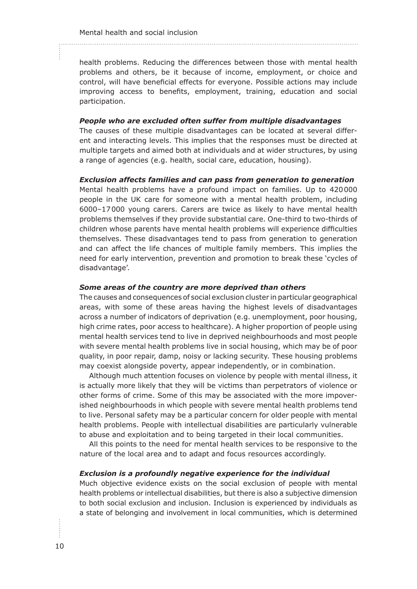health problems. Reducing the differences between those with mental health problems and others, be it because of income, employment, or choice and control, will have beneficial effects for everyone. Possible actions may include improving access to benefits, employment, training, education and social participation.

#### *People who are excluded often suffer from multiple disadvantages*

The causes of these multiple disadvantages can be located at several different and interacting levels. This implies that the responses must be directed at multiple targets and aimed both at individuals and at wider structures, by using a range of agencies (e.g. health, social care, education, housing).

#### *Exclusion affects families and can pass from generation to generation*

Mental health problems have a profound impact on families. Up to 420000 people in the UK care for someone with a mental health problem, including 6000–17000 young carers. Carers are twice as likely to have mental health problems themselves if they provide substantial care. One-third to two-thirds of children whose parents have mental health problems will experience difficulties themselves. These disadvantages tend to pass from generation to generation and can affect the life chances of multiple family members. This implies the need for early intervention, prevention and promotion to break these 'cycles of disadvantage'.

#### *Some areas of the country are more deprived than others*

The causes and consequences of social exclusion cluster in particular geographical areas, with some of these areas having the highest levels of disadvantages across a number of indicators of deprivation (e.g. unemployment, poor housing, high crime rates, poor access to healthcare). A higher proportion of people using mental health services tend to live in deprived neighbourhoods and most people with severe mental health problems live in social housing, which may be of poor quality, in poor repair, damp, noisy or lacking security. These housing problems may coexist alongside poverty, appear independently, or in combination.

Although much attention focuses on violence by people with mental illness, it is actually more likely that they will be victims than perpetrators of violence or other forms of crime. Some of this may be associated with the more impoverished neighbourhoods in which people with severe mental health problems tend to live. Personal safety may be a particular concern for older people with mental health problems. People with intellectual disabilities are particularly vulnerable to abuse and exploitation and to being targeted in their local communities.

All this points to the need for mental health services to be responsive to the nature of the local area and to adapt and focus resources accordingly.

#### *Exclusion is a profoundly negative experience for the individual*

Much objective evidence exists on the social exclusion of people with mental health problems or intellectual disabilities, but there is also a subjective dimension to both social exclusion and inclusion. Inclusion is experienced by individuals as a state of belonging and involvement in local communities, which is determined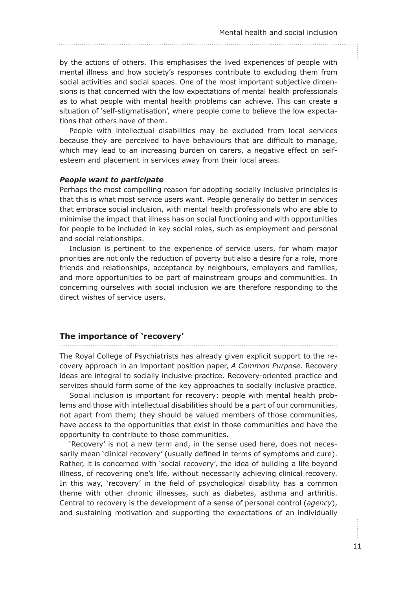by the actions of others. This emphasises the lived experiences of people with mental illness and how society's responses contribute to excluding them from social activities and social spaces. One of the most important subjective dimensions is that concerned with the low expectations of mental health professionals as to what people with mental health problems can achieve. This can create a situation of 'self-stigmatisation', where people come to believe the low expectations that others have of them.

People with intellectual disabilities may be excluded from local services because they are perceived to have behaviours that are difficult to manage, which may lead to an increasing burden on carers, a negative effect on selfesteem and placement in services away from their local areas.

#### *People want to participate*

Perhaps the most compelling reason for adopting socially inclusive principles is that this is what most service users want. People generally do better in services that embrace social inclusion, with mental health professionals who are able to minimise the impact that illness has on social functioning and with opportunities for people to be included in key social roles, such as employment and personal and social relationships.

Inclusion is pertinent to the experience of service users, for whom major priorities are not only the reduction of poverty but also a desire for a role, more friends and relationships, acceptance by neighbours, employers and families, and more opportunities to be part of mainstream groups and communities. In concerning ourselves with social inclusion we are therefore responding to the direct wishes of service users.

## **The importance of 'recovery'**

The Royal College of Psychiatrists has already given explicit support to the recovery approach in an important position paper, *A Common Purpose*. Recovery ideas are integral to socially inclusive practice. Recovery-oriented practice and services should form some of the key approaches to socially inclusive practice.

Social inclusion is important for recovery: people with mental health problems and those with intellectual disabilities should be a part of our communities, not apart from them; they should be valued members of those communities, have access to the opportunities that exist in those communities and have the opportunity to contribute to those communities.

'Recovery' is not a new term and, in the sense used here, does not necessarily mean 'clinical recovery' (usually defined in terms of symptoms and cure). Rather, it is concerned with 'social recovery', the idea of building a life beyond illness, of recovering one's life, without necessarily achieving clinical recovery. In this way, 'recovery' in the field of psychological disability has a common theme with other chronic illnesses, such as diabetes, asthma and arthritis. Central to recovery is the development of a sense of personal control (*agency*), and sustaining motivation and supporting the expectations of an individually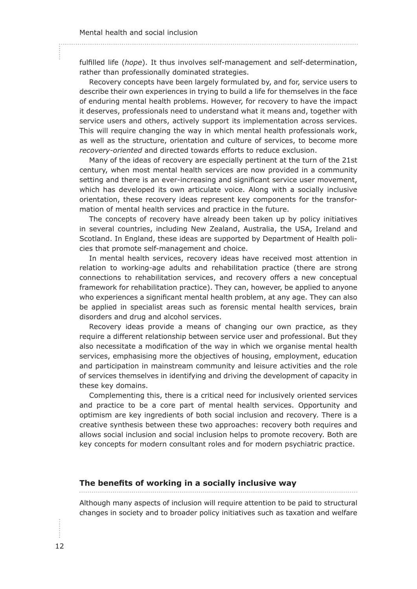fulfilled life (*hope*). It thus involves self-management and self-determination, rather than professionally dominated strategies.

Recovery concepts have been largely formulated by, and for, service users to describe their own experiences in trying to build a life for themselves in the face of enduring mental health problems. However, for recovery to have the impact it deserves, professionals need to understand what it means and, together with service users and others, actively support its implementation across services. This will require changing the way in which mental health professionals work, as well as the structure, orientation and culture of services, to become more *recovery-oriented* and directed towards efforts to reduce exclusion.

Many of the ideas of recovery are especially pertinent at the turn of the 21st century, when most mental health services are now provided in a community setting and there is an ever-increasing and significant service user movement, which has developed its own articulate voice. Along with a socially inclusive orientation, these recovery ideas represent key components for the transformation of mental health services and practice in the future.

The concepts of recovery have already been taken up by policy initiatives in several countries, including New Zealand, Australia, the USA, Ireland and Scotland. In England, these ideas are supported by Department of Health policies that promote self-management and choice.

In mental health services, recovery ideas have received most attention in relation to working-age adults and rehabilitation practice (there are strong connections to rehabilitation services, and recovery offers a new conceptual framework for rehabilitation practice). They can, however, be applied to anyone who experiences a significant mental health problem, at any age. They can also be applied in specialist areas such as forensic mental health services, brain disorders and drug and alcohol services.

Recovery ideas provide a means of changing our own practice, as they require a different relationship between service user and professional. But they also necessitate a modification of the way in which we organise mental health services, emphasising more the objectives of housing, employment, education and participation in mainstream community and leisure activities and the role of services themselves in identifying and driving the development of capacity in these key domains.

Complementing this, there is a critical need for inclusively oriented services and practice to be a core part of mental health services. Opportunity and optimism are key ingredients of both social inclusion and recovery. There is a creative synthesis between these two approaches: recovery both requires and allows social inclusion and social inclusion helps to promote recovery. Both are key concepts for modern consultant roles and for modern psychiatric practice.

#### **The benefits of working in a socially inclusive way**

Although many aspects of inclusion will require attention to be paid to structural changes in society and to broader policy initiatives such as taxation and welfare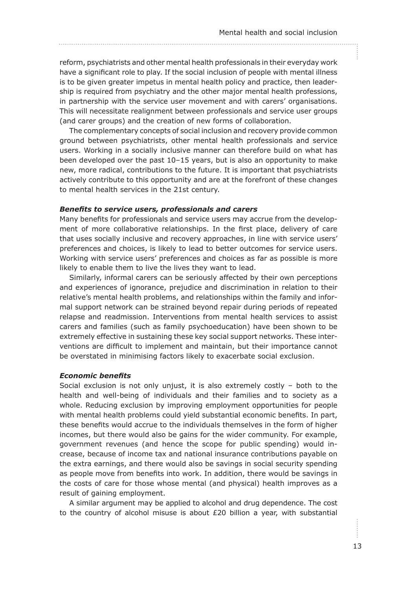reform, psychiatrists and other mental health professionals in their everyday work have a significant role to play. If the social inclusion of people with mental illness is to be given greater impetus in mental health policy and practice, then leadership is required from psychiatry and the other major mental health professions, in partnership with the service user movement and with carers' organisations. This will necessitate realignment between professionals and service user groups (and carer groups) and the creation of new forms of collaboration.

The complementary concepts of social inclusion and recovery provide common ground between psychiatrists, other mental health professionals and service users. Working in a socially inclusive manner can therefore build on what has been developed over the past 10–15 years, but is also an opportunity to make new, more radical, contributions to the future. It is important that psychiatrists actively contribute to this opportunity and are at the forefront of these changes to mental health services in the 21st century.

#### *Benefits to service users, professionals and carers*

Many benefits for professionals and service users may accrue from the development of more collaborative relationships. In the first place, delivery of care that uses socially inclusive and recovery approaches, in line with service users' preferences and choices, is likely to lead to better outcomes for service users. Working with service users' preferences and choices as far as possible is more likely to enable them to live the lives they want to lead.

Similarly, informal carers can be seriously affected by their own perceptions and experiences of ignorance, prejudice and discrimination in relation to their relative's mental health problems, and relationships within the family and informal support network can be strained beyond repair during periods of repeated relapse and readmission. Interventions from mental health services to assist carers and families (such as family psychoeducation) have been shown to be extremely effective in sustaining these key social support networks. These interventions are difficult to implement and maintain, but their importance cannot be overstated in minimising factors likely to exacerbate social exclusion.

#### *Economic benefits*

Social exclusion is not only unjust, it is also extremely costly – both to the health and well-being of individuals and their families and to society as a whole. Reducing exclusion by improving employment opportunities for people with mental health problems could yield substantial economic benefits. In part, these benefits would accrue to the individuals themselves in the form of higher incomes, but there would also be gains for the wider community. For example, government revenues (and hence the scope for public spending) would increase, because of income tax and national insurance contributions payable on the extra earnings, and there would also be savings in social security spending as people move from benefits into work. In addition, there would be savings in the costs of care for those whose mental (and physical) health improves as a result of gaining employment.

A similar argument may be applied to alcohol and drug dependence. The cost to the country of alcohol misuse is about £20 billion a year, with substantial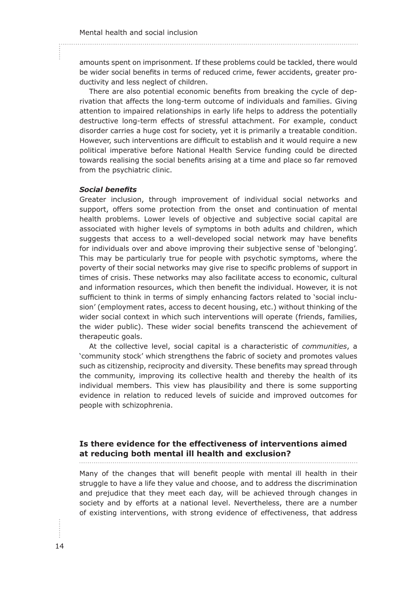amounts spent on imprisonment. If these problems could be tackled, there would be wider social benefits in terms of reduced crime, fewer accidents, greater productivity and less neglect of children.

There are also potential economic benefits from breaking the cycle of deprivation that affects the long-term outcome of individuals and families. Giving attention to impaired relationships in early life helps to address the potentially destructive long-term effects of stressful attachment. For example, conduct disorder carries a huge cost for society, yet it is primarily a treatable condition. However, such interventions are difficult to establish and it would require a new political imperative before National Health Service funding could be directed towards realising the social benefits arising at a time and place so far removed from the psychiatric clinic.

#### *Social benefits*

Greater inclusion, through improvement of individual social networks and support, offers some protection from the onset and continuation of mental health problems. Lower levels of objective and subjective social capital are associated with higher levels of symptoms in both adults and children, which suggests that access to a well-developed social network may have benefits for individuals over and above improving their subjective sense of 'belonging'. This may be particularly true for people with psychotic symptoms, where the poverty of their social networks may give rise to specific problems of support in times of crisis. These networks may also facilitate access to economic, cultural and information resources, which then benefit the individual. However, it is not sufficient to think in terms of simply enhancing factors related to 'social inclusion' (employment rates, access to decent housing, etc.) without thinking of the wider social context in which such interventions will operate (friends, families, the wider public). These wider social benefits transcend the achievement of therapeutic goals.

At the collective level, social capital is a characteristic of *communities*, a 'community stock' which strengthens the fabric of society and promotes values such as citizenship, reciprocity and diversity. These benefits may spread through the community, improving its collective health and thereby the health of its individual members. This view has plausibility and there is some supporting evidence in relation to reduced levels of suicide and improved outcomes for people with schizophrenia.

# **Is there evidence for the effectiveness of interventions aimed at reducing both mental ill health and exclusion?**

Many of the changes that will benefit people with mental ill health in their struggle to have a life they value and choose, and to address the discrimination and prejudice that they meet each day, will be achieved through changes in society and by efforts at a national level. Nevertheless, there are a number of existing interventions, with strong evidence of effectiveness, that address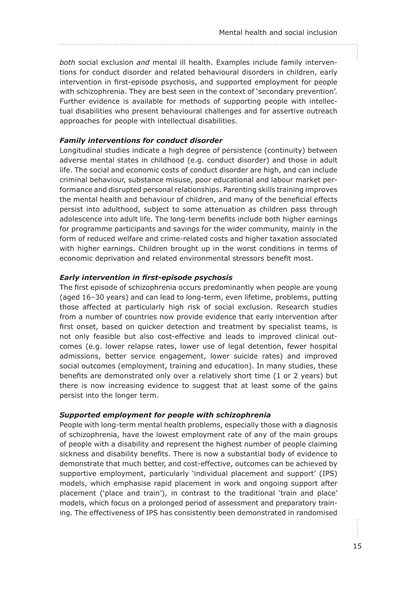*both* social exclusion *and* mental ill health. Examples include family interventions for conduct disorder and related behavioural disorders in children, early intervention in first-episode psychosis, and supported employment for people with schizophrenia. They are best seen in the context of 'secondary prevention'. Further evidence is available for methods of supporting people with intellectual disabilities who present behavioural challenges and for assertive outreach approaches for people with intellectual disabilities.

#### *Family interventions for conduct disorder*

Longitudinal studies indicate a high degree of persistence (continuity) between adverse mental states in childhood (e.g. conduct disorder) and those in adult life. The social and economic costs of conduct disorder are high, and can include criminal behaviour, substance misuse, poor educational and labour market performance and disrupted personal relationships. Parenting skills training improves the mental health and behaviour of children, and many of the beneficial effects persist into adulthood, subject to some attenuation as children pass through adolescence into adult life. The long-term benefits include both higher earnings for programme participants and savings for the wider community, mainly in the form of reduced welfare and crime-related costs and higher taxation associated with higher earnings. Children brought up in the worst conditions in terms of economic deprivation and related environmental stressors benefit most.

#### *Early intervention in first-episode psychosis*

The first episode of schizophrenia occurs predominantly when people are young (aged 16–30 years) and can lead to long-term, even lifetime, problems, putting those affected at particularly high risk of social exclusion. Research studies from a number of countries now provide evidence that early intervention after first onset, based on quicker detection and treatment by specialist teams, is not only feasible but also cost-effective and leads to improved clinical outcomes (e.g. lower relapse rates, lower use of legal detention, fewer hospital admissions, better service engagement, lower suicide rates) and improved social outcomes (employment, training and education). In many studies, these benefits are demonstrated only over a relatively short time (1 or 2 years) but there is now increasing evidence to suggest that at least some of the gains persist into the longer term.

#### *Supported employment for people with schizophrenia*

People with long-term mental health problems, especially those with a diagnosis of schizophrenia, have the lowest employment rate of any of the main groups of people with a disability and represent the highest number of people claiming sickness and disability benefits. There is now a substantial body of evidence to demonstrate that much better, and cost-effective, outcomes can be achieved by supportive employment, particularly 'individual placement and support' (IPS) models, which emphasise rapid placement in work and ongoing support after placement ('place and train'), in contrast to the traditional 'train and place' models, which focus on a prolonged period of assessment and preparatory training. The effectiveness of IPS has consistently been demonstrated in randomised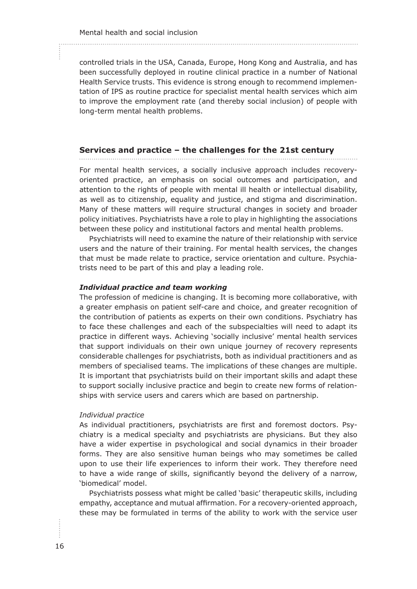controlled trials in the USA, Canada, Europe, Hong Kong and Australia, and has been successfully deployed in routine clinical practice in a number of National Health Service trusts. This evidence is strong enough to recommend implementation of IPS as routine practice for specialist mental health services which aim to improve the employment rate (and thereby social inclusion) of people with long-term mental health problems.

# **Services and practice – the challenges for the 21st century**

For mental health services, a socially inclusive approach includes recoveryoriented practice, an emphasis on social outcomes and participation, and attention to the rights of people with mental ill health or intellectual disability, as well as to citizenship, equality and justice, and stigma and discrimination. Many of these matters will require structural changes in society and broader policy initiatives. Psychiatrists have a role to play in highlighting the associations between these policy and institutional factors and mental health problems.

Psychiatrists will need to examine the nature of their relationship with service users and the nature of their training. For mental health services, the changes that must be made relate to practice, service orientation and culture. Psychiatrists need to be part of this and play a leading role.

#### *Individual practice and team working*

The profession of medicine is changing. It is becoming more collaborative, with a greater emphasis on patient self-care and choice, and greater recognition of the contribution of patients as experts on their own conditions. Psychiatry has to face these challenges and each of the subspecialties will need to adapt its practice in different ways. Achieving 'socially inclusive' mental health services that support individuals on their own unique journey of recovery represents considerable challenges for psychiatrists, both as individual practitioners and as members of specialised teams. The implications of these changes are multiple. It is important that psychiatrists build on their important skills and adapt these to support socially inclusive practice and begin to create new forms of relationships with service users and carers which are based on partnership.

#### *Individual practice*

As individual practitioners, psychiatrists are first and foremost doctors. Psychiatry is a medical specialty and psychiatrists are physicians. But they also have a wider expertise in psychological and social dynamics in their broader forms. They are also sensitive human beings who may sometimes be called upon to use their life experiences to inform their work. They therefore need to have a wide range of skills, significantly beyond the delivery of a narrow, 'biomedical' model.

Psychiatrists possess what might be called 'basic' therapeutic skills, including empathy, acceptance and mutual affirmation. For a recovery-oriented approach, these may be formulated in terms of the ability to work with the service user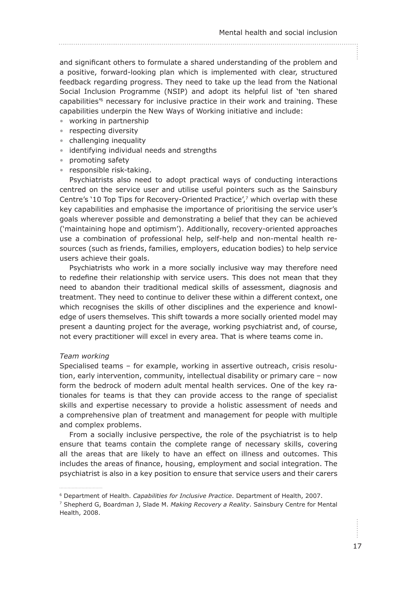and significant others to formulate a shared understanding of the problem and a positive, forward-looking plan which is implemented with clear, structured feedback regarding progress. They need to take up the lead from the National Social Inclusion Programme (NSIP) and adopt its helpful list of 'ten shared capabilities<sup>'6</sup> necessary for inclusive practice in their work and training. These capabilities underpin the New Ways of Working initiative and include:

- working in partnership
- respecting diversity
- challenging inequality
- identifying individual needs and strengths
- promoting safety
- responsible risk-taking.

Psychiatrists also need to adopt practical ways of conducting interactions centred on the service user and utilise useful pointers such as the Sainsbury Centre's '10 Top Tips for Recovery-Oriented Practice', $7$  which overlap with these key capabilities and emphasise the importance of prioritising the service user's goals wherever possible and demonstrating a belief that they can be achieved ('maintaining hope and optimism'). Additionally, recovery-oriented approaches use a combination of professional help, self-help and non-mental health resources (such as friends, families, employers, education bodies) to help service users achieve their goals.

Psychiatrists who work in a more socially inclusive way may therefore need to redefine their relationship with service users. This does not mean that they need to abandon their traditional medical skills of assessment, diagnosis and treatment. They need to continue to deliver these within a different context, one which recognises the skills of other disciplines and the experience and knowledge of users themselves. This shift towards a more socially oriented model may present a daunting project for the average, working psychiatrist and, of course, not every practitioner will excel in every area. That is where teams come in.

#### *Team working*

Specialised teams – for example, working in assertive outreach, crisis resolution, early intervention, community, intellectual disability or primary care – now form the bedrock of modern adult mental health services. One of the key rationales for teams is that they can provide access to the range of specialist skills and expertise necessary to provide a holistic assessment of needs and a comprehensive plan of treatment and management for people with multiple and complex problems.

From a socially inclusive perspective, the role of the psychiatrist is to help ensure that teams contain the complete range of necessary skills, covering all the areas that are likely to have an effect on illness and outcomes. This includes the areas of finance, housing, employment and social integration. The psychiatrist is also in a key position to ensure that service users and their carers

<sup>6</sup> Department of Health. *Capabilities for Inclusive Practice*. Department of Health, 2007.

<sup>7</sup> Shepherd G, Boardman J, Slade M. *Making Recovery a Reality*. Sainsbury Centre for Mental Health, 2008.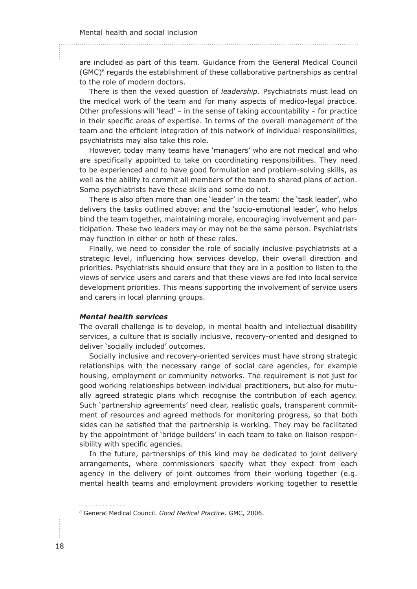are included as part of this team. Guidance from the General Medical Council (GMC)8 regards the establishment of these collaborative partnerships as central to the role of modern doctors.

There is then the vexed question of *leadership*. Psychiatrists must lead on the medical work of the team and for many aspects of medico-legal practice. Other professions will 'lead' – in the sense of taking accountability – for practice in their specific areas of expertise. In terms of the overall management of the team and the efficient integration of this network of individual responsibilities, psychiatrists may also take this role.

However, today many teams have 'managers' who are not medical and who are specifically appointed to take on coordinating responsibilities. They need to be experienced and to have good formulation and problem-solving skills, as well as the ability to commit all members of the team to shared plans of action. Some psychiatrists have these skills and some do not.

There is also often more than one 'leader' in the team: the 'task leader', who delivers the tasks outlined above; and the 'socio-emotional leader', who helps bind the team together, maintaining morale, encouraging involvement and participation. These two leaders may or may not be the same person. Psychiatrists may function in either or both of these roles.

Finally, we need to consider the role of socially inclusive psychiatrists at a strategic level, influencing how services develop, their overall direction and priorities. Psychiatrists should ensure that they are in a position to listen to the views of service users and carers and that these views are fed into local service development priorities. This means supporting the involvement of service users and carers in local planning groups.

### *Mental health services*

The overall challenge is to develop, in mental health and intellectual disability services, a culture that is socially inclusive, recovery-oriented and designed to deliver 'socially included' outcomes.

Socially inclusive and recovery-oriented services must have strong strategic relationships with the necessary range of social care agencies, for example housing, employment or community networks. The requirement is not just for good working relationships between individual practitioners, but also for mutually agreed strategic plans which recognise the contribution of each agency. Such 'partnership agreements' need clear, realistic goals, transparent commitment of resources and agreed methods for monitoring progress, so that both sides can be satisfied that the partnership is working. They may be facilitated by the appointment of 'bridge builders' in each team to take on liaison responsibility with specific agencies.

In the future, partnerships of this kind may be dedicated to joint delivery arrangements, where commissioners specify what they expect from each agency in the delivery of joint outcomes from their working together (e.g. mental health teams and employment providers working together to resettle

<sup>8</sup> General Medical Council. *Good Medical Practice*. GMC, 2006.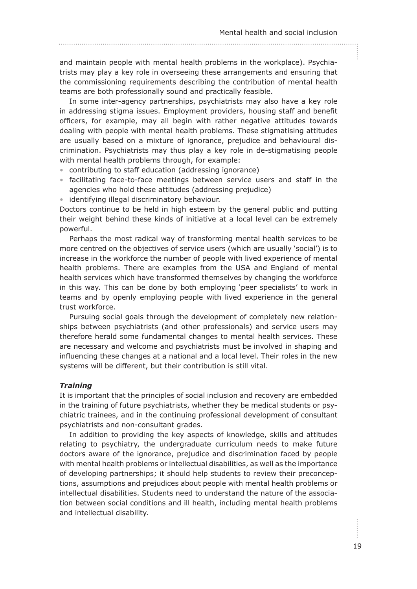and maintain people with mental health problems in the workplace). Psychiatrists may play a key role in overseeing these arrangements and ensuring that the commissioning requirements describing the contribution of mental health teams are both professionally sound and practically feasible.

In some inter-agency partnerships, psychiatrists may also have a key role in addressing stigma issues. Employment providers, housing staff and benefit officers, for example, may all begin with rather negative attitudes towards dealing with people with mental health problems. These stigmatising attitudes are usually based on a mixture of ignorance, prejudice and behavioural discrimination. Psychiatrists may thus play a key role in de-stigmatising people with mental health problems through, for example:

- contributing to staff education (addressing ignorance)
- facilitating face-to-face meetings between service users and staff in the agencies who hold these attitudes (addressing prejudice)
- identifying illegal discriminatory behaviour.

Doctors continue to be held in high esteem by the general public and putting their weight behind these kinds of initiative at a local level can be extremely powerful.

Perhaps the most radical way of transforming mental health services to be more centred on the objectives of service users (which are usually 'social') is to increase in the workforce the number of people with lived experience of mental health problems. There are examples from the USA and England of mental health services which have transformed themselves by changing the workforce in this way. This can be done by both employing 'peer specialists' to work in teams and by openly employing people with lived experience in the general trust workforce.

Pursuing social goals through the development of completely new relationships between psychiatrists (and other professionals) and service users may therefore herald some fundamental changes to mental health services. These are necessary and welcome and psychiatrists must be involved in shaping and influencing these changes at a national and a local level. Their roles in the new systems will be different, but their contribution is still vital.

#### *Training*

It is important that the principles of social inclusion and recovery are embedded in the training of future psychiatrists, whether they be medical students or psychiatric trainees, and in the continuing professional development of consultant psychiatrists and non-consultant grades.

In addition to providing the key aspects of knowledge, skills and attitudes relating to psychiatry, the undergraduate curriculum needs to make future doctors aware of the ignorance, prejudice and discrimination faced by people with mental health problems or intellectual disabilities, as well as the importance of developing partnerships; it should help students to review their preconceptions, assumptions and prejudices about people with mental health problems or intellectual disabilities. Students need to understand the nature of the association between social conditions and ill health, including mental health problems and intellectual disability.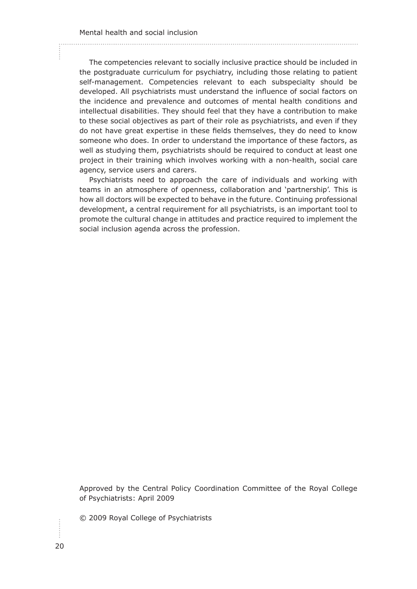The competencies relevant to socially inclusive practice should be included in the postgraduate curriculum for psychiatry, including those relating to patient self-management. Competencies relevant to each subspecialty should be developed. All psychiatrists must understand the influence of social factors on the incidence and prevalence and outcomes of mental health conditions and intellectual disabilities. They should feel that they have a contribution to make to these social objectives as part of their role as psychiatrists, and even if they do not have great expertise in these fields themselves, they do need to know someone who does. In order to understand the importance of these factors, as well as studying them, psychiatrists should be required to conduct at least one project in their training which involves working with a non-health, social care agency, service users and carers.

Psychiatrists need to approach the care of individuals and working with teams in an atmosphere of openness, collaboration and 'partnership'. This is how all doctors will be expected to behave in the future. Continuing professional development, a central requirement for all psychiatrists, is an important tool to promote the cultural change in attitudes and practice required to implement the social inclusion agenda across the profession.

Approved by the Central Policy Coordination Committee of the Royal College of Psychiatrists: April 2009

© 2009 Royal College of Psychiatrists